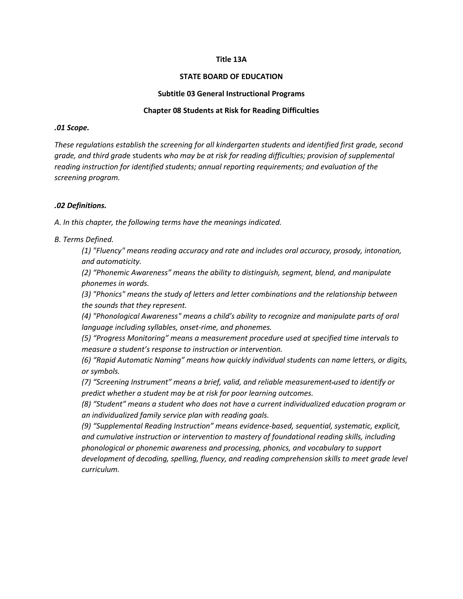### **Title 13A**

#### **STATE BOARD OF EDUCATION**

#### **Subtitle 03 General Instructional Programs**

### **Chapter 08 Students at Risk for Reading Difficulties**

#### *.01 Scope.*

*These regulations establish the screening for all kindergarten students and identified first grade, second grade, and third grad*e students *who may be at risk for reading difficulties; provision of supplemental reading instruction for identified students; annual reporting requirements; and evaluation of the screening program.* 

### *.02 Definitions.*

*A. In this chapter, the following terms have the meanings indicated.*

*B. Terms Defined.*

*(1) "Fluency" means reading accuracy and rate and includes oral accuracy, prosody, intonation, and automaticity.*

*(2) "Phonemic Awareness" means the ability to distinguish, segment, blend, and manipulate phonemes in words.* 

*(3) "Phonics" means the study of letters and letter combinations and the relationship between the sounds that they represent.* 

*(4) "Phonological Awareness" means a child's ability to recognize and manipulate parts of oral language including syllables, onset-rime, and phonemes.* 

*(5) "Progress Monitoring" means a measurement procedure used at specified time intervals to measure a student's response to instruction or intervention.*

*(6) "Rapid Automatic Naming" means how quickly individual students can name letters, or digits, or symbols.*

*(7) "Screening Instrument" means a brief, valid, and reliable measurement used to identify or predict whether a student may be at risk for poor learning outcomes.*

*(8) "Student" means a student who does not have a current individualized education program or an individualized family service plan with reading goals.*

*(9) "Supplemental Reading Instruction" means evidence-based, sequential, systematic, explicit, and cumulative instruction or intervention to mastery of foundational reading skills, including phonological or phonemic awareness and processing, phonics, and vocabulary to support*  development of decoding, spelling, fluency, and reading comprehension skills to meet grade level *curriculum.*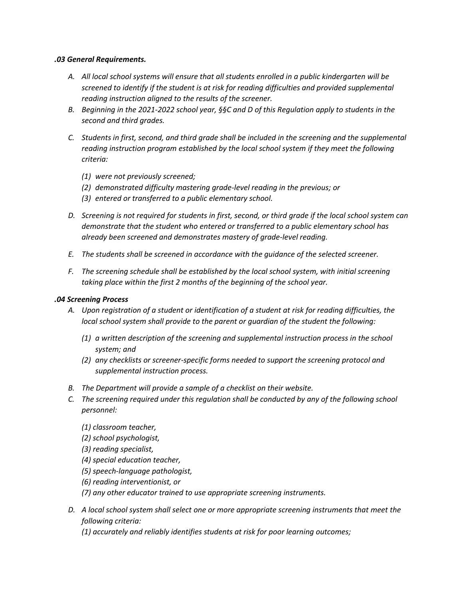## *.03 General Requirements.*

- *A. All local school systems will ensure that all students enrolled in a public kindergarten will be screened to identify if the student is at risk for reading difficulties and provided supplemental reading instruction aligned to the results of the screener.*
- *B. Beginning in the 2021-2022 school year, §§C and D of this Regulation apply to students in the second and third grades.*
- *C. Students in first, second, and third grade shall be included in the screening and the supplemental reading instruction program established by the local school system if they meet the following criteria:* 
	- *(1) were not previously screened;*
	- *(2) demonstrated difficulty mastering grade-level reading in the previous; or*
	- *(3) entered or transferred to a public elementary school.*
- *D. Screening is not required for students in first, second, or third grade if the local school system can demonstrate that the student who entered or transferred to a public elementary school has already been screened and demonstrates mastery of grade-level reading.*
- *E. The students shall be screened in accordance with the guidance of the selected screener.*
- *F. The screening schedule shall be established by the local school system, with initial screening taking place within the first 2 months of the beginning of the school year.*

## *.04 Screening Process*

- *A. Upon registration of a student or identification of a student at risk for reading difficulties, the local school system shall provide to the parent or guardian of the student the following:* 
	- *(1) a written description of the screening and supplemental instruction process in the school system; and*
	- *(2) any checklists or screener-specific forms needed to support the screening protocol and supplemental instruction process.*
- *B. The Department will provide a sample of a checklist on their website.*
- *C. The screening required under this regulation shall be conducted by any of the following school personnel:*
	- *(1) classroom teacher,*
	- *(2) school psychologist,*
	- *(3) reading specialist,*
	- *(4) special education teacher,*
	- *(5) speech-language pathologist,*
	- *(6) reading interventionist, or*
	- *(7) any other educator trained to use appropriate screening instruments.*
- *D. A local school system shall select one or more appropriate screening instruments that meet the following criteria:* 
	- *(1) accurately and reliably identifies students at risk for poor learning outcomes;*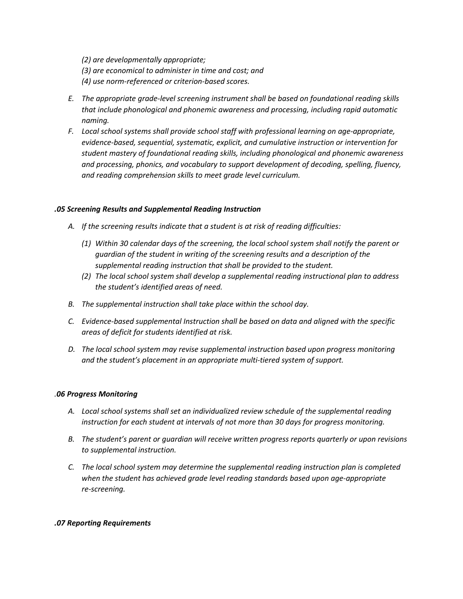*(2) are developmentally appropriate; (3) are economical to administer in time and cost; and (4) use norm-referenced or criterion-based scores.*

- *E. The appropriate grade-level screening instrument shall be based on foundational reading skills that include phonological and phonemic awareness and processing, including rapid automatic naming.*
- *F. Local school systems shall provide school staff with professional learning on age-appropriate, evidence-based, sequential, systematic, explicit, and cumulative instruction or intervention for student mastery of foundational reading skills, including phonological and phonemic awareness and processing, phonics, and vocabulary to support development of decoding, spelling, fluency, and reading comprehension skills to meet grade level curriculum.*

## *.05 Screening Results and Supplemental Reading Instruction*

- *A. If the screening results indicate that a student is at risk of reading difficulties:*
	- *(1) Within 30 calendar days of the screening, the local school system shall notify the parent or guardian of the student in writing of the screening results and a description of the supplemental reading instruction that shall be provided to the student.*
	- *(2) The local school system shall develop a supplemental reading instructional plan to address the student's identified areas of need.*
- *B. The supplemental instruction shall take place within the school day.*
- *C. Evidence-based supplemental Instruction shall be based on data and aligned with the specific areas of deficit for students identified at risk.*
- *D. The local school system may revise supplemental instruction based upon progress monitoring and the student's placement in an appropriate multi-tiered system of support.*

## *.06 Progress Monitoring*

- *A. Local school systems shall set an individualized review schedule of the supplemental reading instruction for each student at intervals of not more than 30 days for progress monitoring.*
- *B. The student's parent or guardian will receive written progress reports quarterly or upon revisions to supplemental instruction.*
- *C. The local school system may determine the supplemental reading instruction plan is completed when the student has achieved grade level reading standards based upon age-appropriate re-screening.*

### *.07 Reporting Requirements*